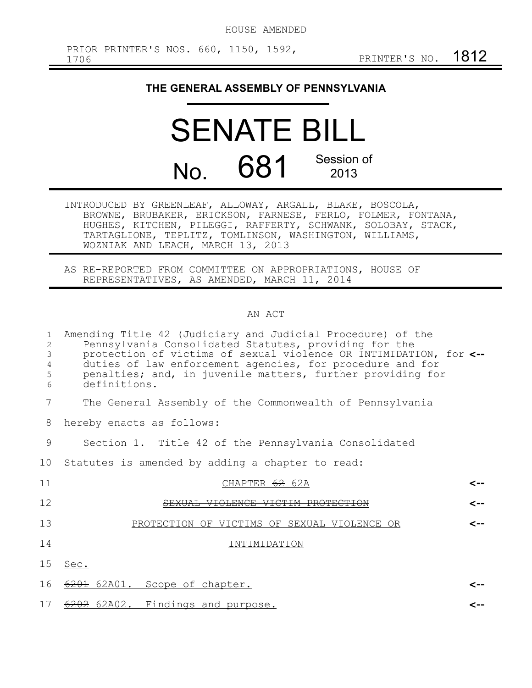## **THE GENERAL ASSEMBLY OF PENNSYLVANIA**

## **SENATE BIL** No. 681 Session of 2013

INTRODUCED BY GREENLEAF, ALLOWAY, ARGALL, BLAKE, BOSCOLA, BROWNE, BRUBAKER, ERICKSON, FARNESE, FERLO, FOLMER, FONTANA, HUGHES, KITCHEN, PILEGGI, RAFFERTY, SCHWANK, SOLOBAY, STACK, TARTAGLIONE, TEPLITZ, TOMLINSON, WASHINGTON, WILLIAMS, WOZNIAK AND LEACH, MARCH 13, 2013

AS RE-REPORTED FROM COMMITTEE ON APPROPRIATIONS, HOUSE OF REPRESENTATIVES, AS AMENDED, MARCH 11, 2014

## AN ACT

| $\mathbf{1}$<br>2<br>$\mathfrak{Z}$<br>4<br>5<br>6 | Amending Title 42 (Judiciary and Judicial Procedure) of the<br>Pennsylvania Consolidated Statutes, providing for the<br>protection of victims of sexual violence OR INTIMIDATION, for <--<br>duties of law enforcement agencies, for procedure and for<br>penalties; and, in juvenile matters, further providing for<br>definitions. |  |
|----------------------------------------------------|--------------------------------------------------------------------------------------------------------------------------------------------------------------------------------------------------------------------------------------------------------------------------------------------------------------------------------------|--|
| 7                                                  | The General Assembly of the Commonwealth of Pennsylvania                                                                                                                                                                                                                                                                             |  |
| 8                                                  | hereby enacts as follows:                                                                                                                                                                                                                                                                                                            |  |
| 9                                                  | Section 1. Title 42 of the Pennsylvania Consolidated                                                                                                                                                                                                                                                                                 |  |
| 10                                                 | Statutes is amended by adding a chapter to read:                                                                                                                                                                                                                                                                                     |  |
| 11                                                 | CHAPTER 62 62A<br>⊂--                                                                                                                                                                                                                                                                                                                |  |
| 12                                                 | SEXUAL VIOLENCE VICTIM PROTECTION<br><--                                                                                                                                                                                                                                                                                             |  |
| 13                                                 | PROTECTION OF VICTIMS OF SEXUAL VIOLENCE OR<br><--                                                                                                                                                                                                                                                                                   |  |
| 14                                                 | INTIMIDATION                                                                                                                                                                                                                                                                                                                         |  |
| 15                                                 | Sec.                                                                                                                                                                                                                                                                                                                                 |  |
| 16                                                 | 6201 62A01. Scope of chapter.<br><--                                                                                                                                                                                                                                                                                                 |  |
| 17                                                 | 6202 62A02. Findings and purpose.<br>~->                                                                                                                                                                                                                                                                                             |  |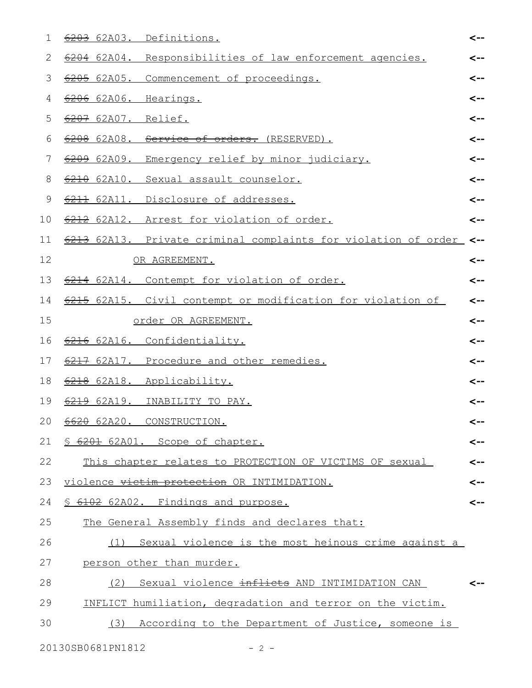| 1  | 6203 62A03. Definitions.                                       | <-- |
|----|----------------------------------------------------------------|-----|
| 2  | 6204 62A04. Responsibilities of law enforcement agencies.      | <-- |
| 3  | 6205 62A05. Commencement of proceedings.                       | <-- |
| 4  | 6206 62A06. Hearings.                                          | <-- |
| 5  | 6207 62A07. Relief.                                            | <-- |
| 6  | 6208 62A08. Service of orders. (RESERVED).                     | <-- |
| 7  | 6209 62A09.<br>Emergency relief by minor judiciary.            | <-- |
| 8  | 6210 62A10. Sexual assault counselor.                          | <-- |
| 9  | 6211 62A11. Disclosure of addresses.                           | <-- |
| 10 | 6212 62A12. Arrest for violation of order.                     | <-- |
| 11 | 6213 62A13. Private criminal complaints for violation of order | <-- |
| 12 | OR AGREEMENT.                                                  | <-- |
| 13 | 6214 62A14. Contempt for violation of order.                   | <-- |
| 14 | 6215 62A15. Civil contempt or modification for violation of    | <-- |
| 15 | order OR AGREEMENT.                                            | <-- |
| 16 | 6216 62A16. Confidentiality.                                   | <-- |
| 17 | 6217 62A17. Procedure and other remedies.                      | <-- |
| 18 | 6218 62A18. Applicability.                                     | <-- |
| 19 | 6219 62A19. INABILITY TO PAY.                                  | <-- |
|    | 20 6620 62A20. CONSTRUCTION.                                   | <-- |
| 21 | \$ 6201 62A01. Scope of chapter.                               | <-- |
| 22 | This chapter relates to PROTECTION OF VICTIMS OF sexual        | <-- |
| 23 | violence victim protection OR INTIMIDATION.                    | <-- |
| 24 | \$ 6102 62A02. Findings and purpose.                           | <-- |
| 25 | The General Assembly finds and declares that:                  |     |
| 26 | (1) Sexual violence is the most heinous crime against a        |     |
| 27 | person other than murder.                                      |     |
| 28 | Sexual violence inflicts AND INTIMIDATION CAN<br>(2)           | <-- |
| 29 | INFLICT humiliation, degradation and terror on the victim.     |     |
| 30 | (3) According to the Department of Justice, someone is         |     |
|    |                                                                |     |

20130SB0681PN1812 - 2 -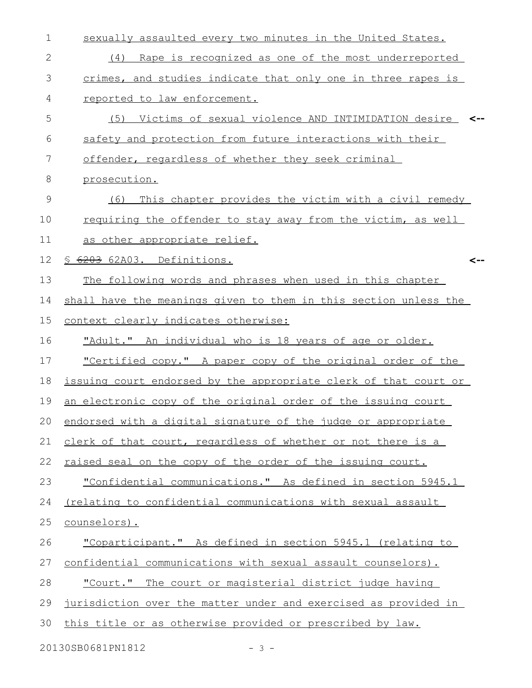| $\mathbf 1$  | sexually assaulted every two minutes in the United States.       |
|--------------|------------------------------------------------------------------|
| $\mathbf{2}$ | (4) Rape is recognized as one of the most underreported          |
| 3            | crimes, and studies indicate that only one in three rapes is     |
| 4            | reported to law enforcement.                                     |
| 5            | (5) Victims of sexual violence AND INTIMIDATION desire           |
| 6            | safety and protection from future interactions with their        |
| 7            | offender, regardless of whether they seek criminal               |
| 8            | prosecution.                                                     |
| 9            | This chapter provides the victim with a civil remedy<br>(6)      |
| 10           | requiring the offender to stay away from the victim, as well     |
| 11           | as other appropriate relief.                                     |
| 12           | S 6203 62A03. Definitions.<br><--                                |
| 13           | The following words and phrases when used in this chapter        |
| 14           | shall have the meanings given to them in this section unless the |
| 15           | context clearly indicates otherwise:                             |
| 16           | "Adult." An individual who is 18 years of age or older.          |
| 17           | "Certified copy." A paper copy of the original order of the      |
| 18           | issuing court endorsed by the appropriate clerk of that court or |
| 19           | an electronic copy of the original order of the issuing court    |
|              | 20 endorsed with a digital signature of the judge or appropriate |
| 21           | clerk of that court, regardless of whether or not there is a     |
| 22           | raised seal on the copy of the order of the issuing court.       |
| 23           | "Confidential communications." As defined in section 5945.1      |
| 24           | (relating to confidential communications with sexual assault     |
| 25           | counselors).                                                     |
| 26           | "Coparticipant." As defined in section 5945.1 (relating to       |
| 27           | confidential communications with sexual assault counselors).     |
| 28           | "Court." The court or magisterial district judge having          |
| 29           | jurisdiction over the matter under and exercised as provided in  |
| 30           | this title or as otherwise provided or prescribed by law.        |
|              |                                                                  |

20130SB0681PN1812 - 3 -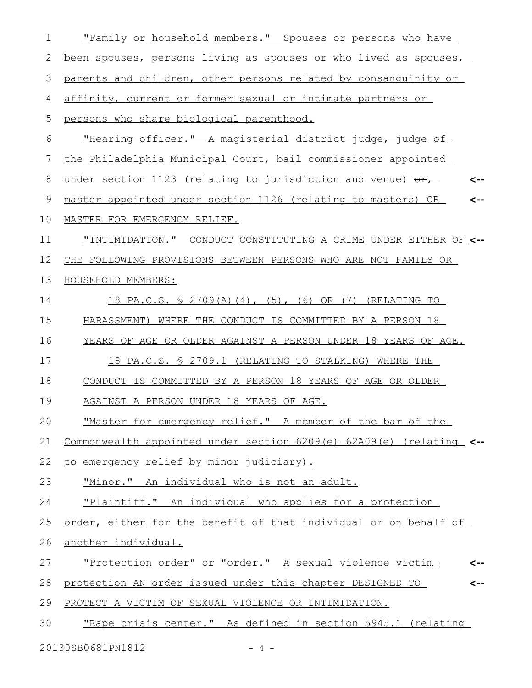| 1  | "Family or household members." Spouses or persons who have                 |
|----|----------------------------------------------------------------------------|
| 2  | been spouses, persons living as spouses or who lived as spouses,           |
| 3  | parents and children, other persons related by consanguinity or            |
| 4  | affinity, current or former sexual or intimate partners or                 |
| 5  | persons who share biological parenthood.                                   |
| 6  | "Hearing officer." A magisterial district judge, judge of                  |
| 7  | the Philadelphia Municipal Court, bail commissioner appointed              |
| 8  | under section 1123 (relating to jurisdiction and venue) $\Theta$ r,<br><-- |
| 9  | master appointed under section 1126 (relating to masters) OR<br><--        |
| 10 | MASTER FOR EMERGENCY RELIEF.                                               |
| 11 | "INTIMIDATION." CONDUCT CONSTITUTING A CRIME UNDER EITHER OF <--           |
| 12 | THE FOLLOWING PROVISIONS BETWEEN PERSONS WHO ARE NOT FAMILY OR             |
| 13 | HOUSEHOLD MEMBERS:                                                         |
| 14 | 18 PA.C.S. § 2709(A)(4), (5), (6) OR (7) (RELATING TO                      |
| 15 | HARASSMENT) WHERE THE CONDUCT IS COMMITTED BY A PERSON 18                  |
| 16 | YEARS OF AGE OR OLDER AGAINST A PERSON UNDER 18 YEARS OF AGE.              |
| 17 | 18 PA.C.S. § 2709.1 (RELATING TO STALKING) WHERE THE                       |
| 18 | CONDUCT IS COMMITTED BY A PERSON 18 YEARS OF AGE OR OLDER                  |
| 19 | AGAINST A PERSON UNDER 18 YEARS OF AGE.                                    |
| 20 | "Master for emergency relief." A member of the bar of the                  |
| 21 | Commonwealth appointed under section 6209(e) 62A09(e) (relating <--        |
| 22 | to emergency relief by minor judiciary).                                   |
| 23 | "Minor." An individual who is not an adult.                                |
| 24 | "Plaintiff." An individual who applies for a protection                    |
| 25 | order, either for the benefit of that individual or on behalf of           |
| 26 | another individual.                                                        |
| 27 | <u>"Protection order" or "order." A sexual violence victim-</u>            |
| 28 | protection AN order issued under this chapter DESIGNED TO                  |
| 29 | PROTECT A VICTIM OF SEXUAL VIOLENCE OR INTIMIDATION.                       |
| 30 | "Rape crisis center." As defined in section 5945.1 (relating               |
|    |                                                                            |

20130SB0681PN1812 - 4 -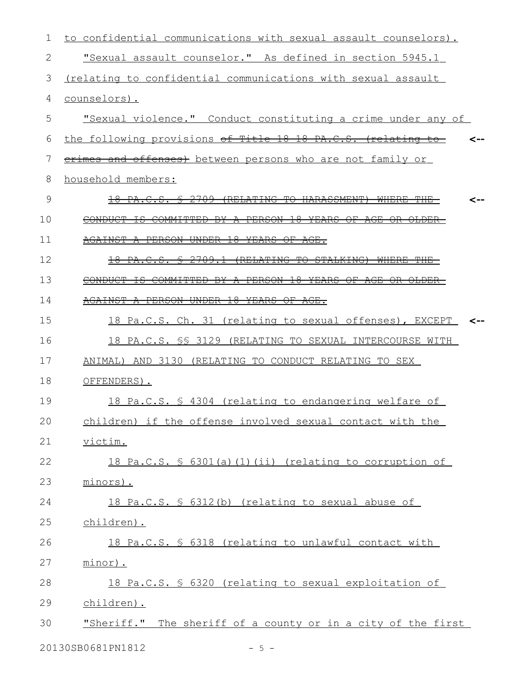| 1  | to confidential communications with sexual assault counselors).                                             |
|----|-------------------------------------------------------------------------------------------------------------|
| 2  | "Sexual assault counselor." As defined in section 5945.1                                                    |
| 3  | (relating to confidential communications with sexual assault                                                |
| 4  | counselors).                                                                                                |
| 5  | "Sexual violence." Conduct constituting a crime under any of                                                |
| 6  | the following provisions of Title 18 18 PA.C.S. (relating to-                                               |
| 7  | erimes and offenses) between persons who are not family or                                                  |
| 8  | household members:                                                                                          |
| 9  | -2709<br><del>(RELATING TO</del><br><del>PA.C.S.</del>                                                      |
| 10 | COMMITTED<br><b>PERSON</b><br>구용<br><del>YEARS</del><br>CONDUCT<br>ŦS<br>₽¥<br>⊖ஈ<br>$\overline{A}$ GE<br>₩ |
| 11 | <b>GAINST</b><br>PERSON<br><b>UNDER</b><br>$\pm 8$<br><del>YEARS</del>                                      |
| 12 | (RELATING TO STALKING)<br><del>18 PA.C.S.</del><br><del>2709.1</del><br><del>WHERE THE</del><br>↞           |
| 13 | COMMITTED<br><del>- A PERSON 18 YEARS</del><br>CONDUCT<br>-BY-                                              |
| 14 | AGAINST A PERSON UNDER<br><del>18 YEARS OF AGE.</del>                                                       |
| 15 | 18 Pa.C.S. Ch. 31 (relating to sexual offenses), EXCEPT                                                     |
| 16 | 18 PA.C.S. \$\$ 3129 (RELATING TO SEXUAL INTERCOURSE WITH                                                   |
| 17 | ANIMAL) AND 3130 (RELATING TO CONDUCT RELATING TO SEX                                                       |
| 18 | OFFENDERS).                                                                                                 |
| 19 | 18 Pa.C.S. § 4304 (relating to endangering welfare of                                                       |
| 20 | children) if the offense involved sexual contact with the                                                   |
| 21 | victim.                                                                                                     |
| 22 | 18 Pa.C.S. $\frac{1}{5}$ 6301(a)(1)(ii) (relating to corruption of                                          |
| 23 | minors).                                                                                                    |
| 24 | 18 Pa.C.S. § 6312(b) (relating to sexual abuse of                                                           |
| 25 | children).                                                                                                  |
| 26 | 18 Pa.C.S. § 6318 (relating to unlawful contact with                                                        |
| 27 | minor).                                                                                                     |
| 28 | 18 Pa.C.S. § 6320 (relating to sexual exploitation of                                                       |
| 29 | children).                                                                                                  |
| 30 | "Sheriff." The sheriff of a county or in a city of the first                                                |
|    | 20130SB0681PN1812<br>$-5 -$                                                                                 |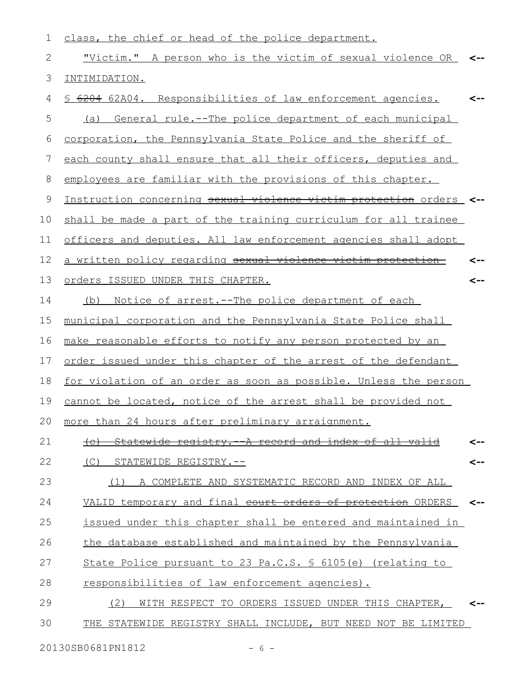| 1            | class, the chief or head of the police department.                   |     |
|--------------|----------------------------------------------------------------------|-----|
| $\mathbf{2}$ | "Victim." A person who is the victim of sexual violence OR <--       |     |
| 3            | INTIMIDATION.                                                        |     |
| 4            | \$ 6204 62A04. Responsibilities of law enforcement agencies.         | <-- |
| 5            | (a) General rule.--The police department of each municipal           |     |
| 6            | corporation, the Pennsylvania State Police and the sheriff of        |     |
| 7            | each county shall ensure that all their officers, deputies and       |     |
| 8            | employees are familiar with the provisions of this chapter.          |     |
| $\mathsf 9$  | Instruction concerning sexual violence victim protection orders_ <-- |     |
| 10           | shall be made a part of the training curriculum for all trainee      |     |
| 11           | officers and deputies. All law enforcement agencies shall adopt      |     |
| 12           | a written policy regarding sexual violence victim protection         |     |
| 13           | Orders ISSUED UNDER THIS CHAPTER.                                    | <-- |
| 14           | Notice of arrest. -- The police department of each<br>(b)            |     |
| 15           | municipal corporation and the Pennsylvania State Police shall        |     |
| 16           | make reasonable efforts to notify any person protected by an         |     |
| 17           | order issued under this chapter of the arrest of the defendant       |     |
| 18           | for violation of an order as soon as possible. Unless the person     |     |
| 19           | cannot be located, notice of the arrest shall be provided not        |     |
| 20           | more than 24 hours after preliminary arraignment.                    |     |
| 21           | Statewide registry. - A record and index of all valid                |     |
| 22           | STATEWIDE REGISTRY.--<br>(C)                                         | <-- |
| 23           | A COMPLETE AND SYSTEMATIC RECORD AND INDEX OF ALL<br>(1)             |     |
| 24           | VALID temporary and final court orders of protection ORDERS          | <-- |
| 25           | issued under this chapter shall be entered and maintained in         |     |
| 26           | the database established and maintained by the Pennsylvania          |     |
| 27           | State Police pursuant to 23 Pa.C.S. § 6105(e) (relating to           |     |
| 28           | responsibilities of law enforcement agencies).                       |     |
| 29           | WITH RESPECT TO ORDERS ISSUED UNDER THIS CHAPTER,<br>(2)             | <-- |
| 30           | THE STATEWIDE REGISTRY SHALL INCLUDE, BUT NEED NOT BE LIMITED        |     |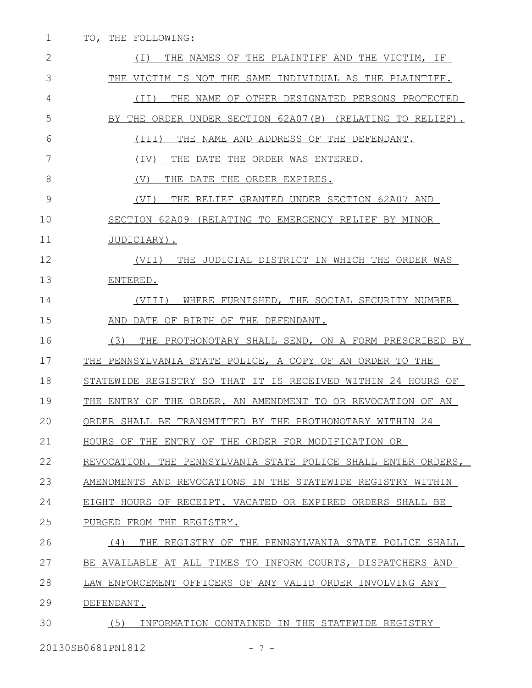| TO, THE FOLLOWING:                                            |
|---------------------------------------------------------------|
| THE NAMES OF THE PLAINTIFF AND THE VICTIM, IF<br>( I )        |
| THE VICTIM IS NOT THE SAME INDIVIDUAL AS THE PLAINTIFF.       |
| THE NAME OF OTHER DESIGNATED PERSONS PROTECTED<br>(TI)        |
| BY THE ORDER UNDER SECTION 62A07(B) (RELATING TO RELIEF).     |
| THE NAME AND ADDRESS OF THE DEFENDANT.<br>(III)               |
| (IV)<br>THE DATE THE ORDER WAS ENTERED.                       |
| (V)<br>THE DATE THE ORDER EXPIRES.                            |
| THE RELIEF GRANTED UNDER SECTION 62A07 AND<br>(VI)            |
| SECTION 62A09 (RELATING TO EMERGENCY RELIEF BY MINOR          |
| JUDICIARY).                                                   |
| (VII)<br>THE JUDICIAL DISTRICT IN WHICH THE ORDER WAS         |
| ENTERED.                                                      |
| WHERE FURNISHED, THE SOCIAL SECURITY NUMBER<br>(VIII)         |
| AND DATE OF BIRTH OF THE DEFENDANT.                           |
| (3)<br>THE PROTHONOTARY SHALL SEND, ON A FORM PRESCRIBED BY   |
| THE PENNSYLVANIA STATE POLICE, A COPY OF AN ORDER TO THE      |
| STATEWIDE REGISTRY SO THAT IT IS RECEIVED WITHIN 24 HOURS OF  |
| THE ENTRY OF THE ORDER. AN AMENDMENT TO OR REVOCATION OF AN   |
| ORDER SHALL BE TRANSMITTED BY THE PROTHONOTARY WITHIN 24      |
| HOURS OF THE ENTRY OF THE ORDER FOR MODIFICATION OR           |
| REVOCATION. THE PENNSYLVANIA STATE POLICE SHALL ENTER ORDERS, |
| AMENDMENTS AND REVOCATIONS IN THE STATEWIDE REGISTRY WITHIN   |
| EIGHT HOURS OF RECEIPT. VACATED OR EXPIRED ORDERS SHALL BE    |
| PURGED FROM THE REGISTRY.                                     |
| THE REGISTRY OF THE PENNSYLVANIA STATE POLICE SHALL<br>(4)    |
| BE AVAILABLE AT ALL TIMES TO INFORM COURTS, DISPATCHERS AND   |
| LAW ENFORCEMENT OFFICERS OF ANY VALID ORDER INVOLVING ANY     |
| DEFENDANT.                                                    |
| (5)<br>INFORMATION CONTAINED IN THE STATEWIDE REGISTRY        |
|                                                               |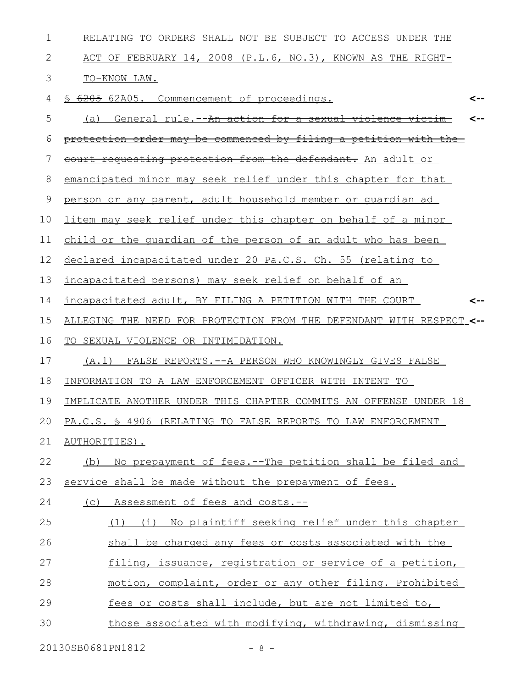| RELATING TO ORDERS SHALL NOT BE SUBJECT TO ACCESS UNDER THE          |
|----------------------------------------------------------------------|
| ACT OF FEBRUARY 14, 2008 (P.L.6, NO.3), KNOWN AS THE RIGHT-          |
| TO-KNOW LAW.                                                         |
| 6205 62A05. Commencement of proceedings.<br>S<br><--                 |
| (a) General rule.--An action for a sexual violence victim            |
| protection order may be commenced by filing a petition with the      |
| court requesting protection from the defendant. An adult or          |
| emancipated minor may seek relief under this chapter for that        |
| person or any parent, adult household member or quardian ad          |
| litem may seek relief under this chapter on behalf of a minor        |
| child or the quardian of the person of an adult who has been         |
| declared incapacitated under 20 Pa.C.S. Ch. 55 (relating to          |
| incapacitated persons) may seek relief on behalf of an               |
| incapacitated adult, BY FILING A PETITION WITH THE COURT             |
| ALLEGING THE NEED FOR PROTECTION FROM THE DEFENDANT WITH RESPECT <-- |
| TO SEXUAL VIOLENCE OR INTIMIDATION.                                  |
| (A.1) FALSE REPORTS. -- A PERSON WHO KNOWINGLY GIVES FALSE           |
| INFORMATION TO A LAW ENFORCEMENT OFFICER WITH INTENT TO              |
| IMPLICATE ANOTHER UNDER THIS CHAPTER COMMITS AN OFFENSE UNDER 18     |
| PA.C.S. § 4906 (RELATING TO FALSE REPORTS TO LAW ENFORCEMENT         |
| AUTHORITIES).                                                        |
| No prepayment of fees.--The petition shall be filed and<br>(b)       |
| service shall be made without the prepayment of fees.                |
| (c) Assessment of fees and costs.--                                  |
| (1) (i) No plaintiff seeking relief under this chapter               |
| shall be charged any fees or costs associated with the               |
| filing, issuance, registration or service of a petition,             |
| motion, complaint, order or any other filing. Prohibited             |
| fees or costs shall include, but are not limited to,                 |
| those associated with modifying, withdrawing, dismissing             |
|                                                                      |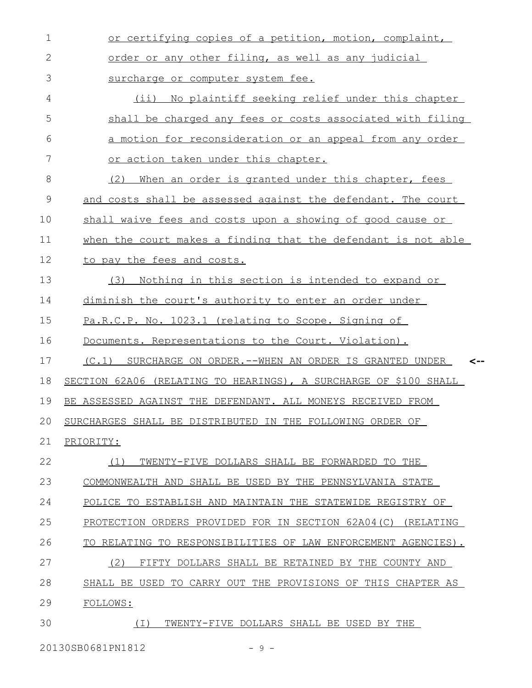| $\mathbf{1}$ | or certifying copies of a petition, motion, complaint,           |
|--------------|------------------------------------------------------------------|
| $\mathbf{2}$ | order or any other filing, as well as any judicial               |
| 3            | surcharge or computer system fee.                                |
| 4            | (ii) No plaintiff seeking relief under this chapter              |
| 5            | shall be charged any fees or costs associated with filing        |
| 6            | a motion for reconsideration or an appeal from any order         |
| 7            | or action taken under this chapter.                              |
| 8            | (2)<br>When an order is granted under this chapter, fees         |
| 9            | and costs shall be assessed against the defendant. The court     |
| 10           | shall waive fees and costs upon a showing of good cause or       |
| 11           | when the court makes a finding that the defendant is not able    |
| 12           | to pay the fees and costs.                                       |
| 13           | (3)<br>Nothing in this section is intended to expand or          |
| 14           | diminish the court's authority to enter an order under           |
| 15           | Pa.R.C.P. No. 1023.1 (relating to Scope. Signing of              |
| 16           | Documents. Representations to the Court. Violation).             |
| 17           | (C.1) SURCHARGE ON ORDER. -- WHEN AN ORDER IS GRANTED UNDER      |
| 18           | SECTION 62A06 (RELATING TO HEARINGS), A SURCHARGE OF \$100 SHALL |
| 19           | BE ASSESSED AGAINST THE DEFENDANT. ALL MONEYS RECEIVED FROM      |
| 20           | SURCHARGES SHALL BE DISTRIBUTED IN THE FOLLOWING ORDER OF        |
| 21           | PRIORITY:                                                        |
| 22           | TWENTY-FIVE DOLLARS SHALL BE FORWARDED TO THE<br>(1)             |
| 23           | COMMONWEALTH AND SHALL BE USED BY THE PENNSYLVANIA STATE         |
| 24           | POLICE TO ESTABLISH AND MAINTAIN THE STATEWIDE REGISTRY OF       |
| 25           | PROTECTION ORDERS PROVIDED FOR IN SECTION 62A04(C) (RELATING     |
| 26           | TO RELATING TO RESPONSIBILITIES OF LAW ENFORCEMENT AGENCIES).    |
| 27           | (2)<br>FIFTY DOLLARS SHALL BE RETAINED BY THE COUNTY AND         |
| 28           | SHALL BE USED TO CARRY OUT THE PROVISIONS OF THIS CHAPTER AS     |
| 29           | FOLLOWS:                                                         |
| 30           | TWENTY-FIVE DOLLARS SHALL BE USED BY THE<br>( I )                |

20130SB0681PN1812 - 9 -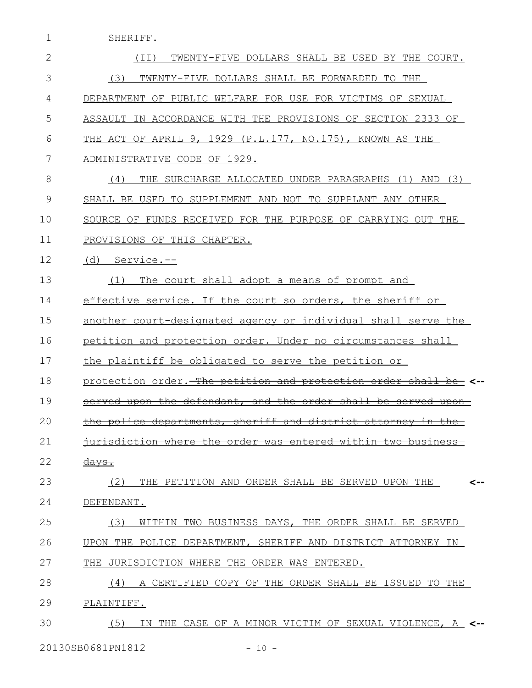1 SHERIFF.

| $\mathbf{2}$  | TWENTY-FIVE DOLLARS SHALL BE USED BY THE COURT.<br>(TI)                                                                         |
|---------------|---------------------------------------------------------------------------------------------------------------------------------|
| 3             | TWENTY-FIVE DOLLARS SHALL BE FORWARDED TO THE<br>(3)                                                                            |
| 4             | DEPARTMENT OF PUBLIC WELFARE FOR USE FOR VICTIMS OF SEXUAL                                                                      |
| 5             | ASSAULT IN ACCORDANCE WITH THE PROVISIONS OF SECTION 2333 OF                                                                    |
| 6             | THE ACT OF APRIL 9, 1929 (P.L.177, NO.175), KNOWN AS THE                                                                        |
| 7             | ADMINISTRATIVE CODE OF 1929.                                                                                                    |
| 8             | THE SURCHARGE ALLOCATED UNDER PARAGRAPHS (1)<br>AND (3)<br>(4)                                                                  |
| $\mathcal{G}$ | SHALL BE USED TO SUPPLEMENT AND NOT TO SUPPLANT ANY OTHER                                                                       |
| 10            | SOURCE OF FUNDS RECEIVED FOR THE PURPOSE OF CARRYING OUT THE                                                                    |
| 11            | PROVISIONS OF THIS CHAPTER.                                                                                                     |
| 12            | $(d)$ Service.--                                                                                                                |
| 13            | The court shall adopt a means of prompt and<br>(1)                                                                              |
| 14            | effective service. If the court so orders, the sheriff or                                                                       |
| 15            | another court-designated agency or individual shall serve the                                                                   |
| 16            | petition and protection order. Under no circumstances shall                                                                     |
| 17            | the plaintiff be obligated to serve the petition or                                                                             |
| 18            | protection order. The petition and protection order<br><del>shall</del><br><del>-be</del>                                       |
| 19            | the defendant, and the order<br><del>shall</del><br>- <del>uoon</del><br><del>be</del><br><del>served</del><br><del>upon-</del> |
| 20            | <del>sheriff and district</del><br><del>tments.</del><br><del>attornev</del>                                                    |
| 21            | <del>busine</del><br>₩а                                                                                                         |
| 22            | <del>days.</del>                                                                                                                |
| 23            | THE PETITION AND ORDER SHALL BE SERVED UPON THE<br>(2)                                                                          |
| 24            | DEFENDANT.                                                                                                                      |
| 25            | (3)<br>WITHIN TWO BUSINESS DAYS, THE ORDER SHALL BE SERVED                                                                      |
| 26            | UPON THE POLICE DEPARTMENT, SHERIFF AND DISTRICT ATTORNEY IN                                                                    |
| 27            | JURISDICTION WHERE THE ORDER WAS ENTERED.<br>THE.                                                                               |
| 28            | CERTIFIED COPY OF THE ORDER SHALL BE ISSUED TO THE<br>(4)<br>A                                                                  |
| 29            | PLAINTIFF.                                                                                                                      |
| 30            | IN THE CASE OF A MINOR VICTIM OF SEXUAL VIOLENCE, A <--<br>(5)                                                                  |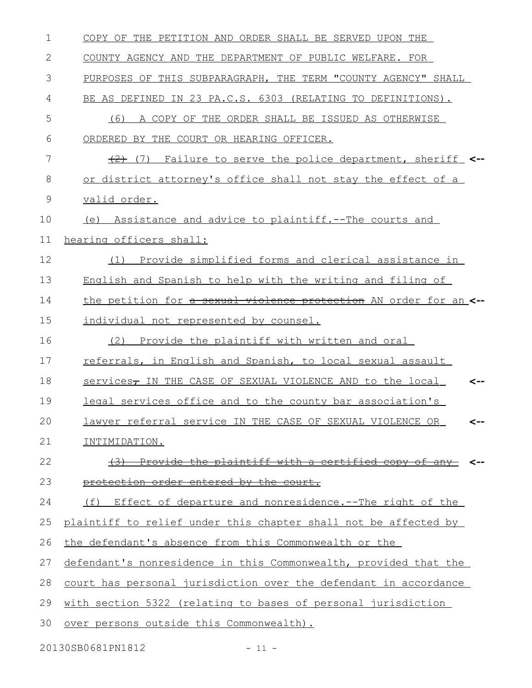| $\mathbf 1$ | COPY OF THE PETITION AND ORDER SHALL BE SERVED UPON THE               |
|-------------|-----------------------------------------------------------------------|
| 2           | COUNTY AGENCY AND THE DEPARTMENT OF PUBLIC WELFARE. FOR               |
| 3           | PURPOSES OF THIS SUBPARAGRAPH, THE TERM "COUNTY AGENCY" SHALL         |
| 4           | BE AS DEFINED IN 23 PA.C.S. 6303 (RELATING TO DEFINITIONS).           |
| 5           | A COPY OF THE ORDER SHALL BE ISSUED AS OTHERWISE<br>(6)               |
| 6           | ORDERED BY THE COURT OR HEARING OFFICER.                              |
| 7           | $\frac{1}{2}$ (7) Failure to serve the police department, sheriff <-- |
| 8           | or district attorney's office shall not stay the effect of a          |
| 9           | valid order.                                                          |
| 10          | (e) Assistance and advice to plaintiff.--The courts and               |
| 11          | hearing officers shall:                                               |
| 12          | Provide simplified forms and clerical assistance in<br>(1)            |
| 13          | English and Spanish to help with the writing and filing of            |
| 14          | the petition for a sexual violence protection AN order for an <--     |
| 15          | individual not represented by counsel.                                |
| 16          | (2) Provide the plaintiff with written and oral                       |
| 17          | referrals, in English and Spanish, to local sexual assault            |
| 18          | services, IN THE CASE OF SEXUAL VIOLENCE AND to the local<br><--      |
| 19          | legal services office and to the county bar association's             |
| 20          | lawyer referral service IN THE CASE OF SEXUAL VIOLENCE OR<br><--      |
| 21          | INTIMIDATION.                                                         |
| 22          | (3) Provide the plaintiff with a certified copy of any-               |
| 23          | protection order entered by the court.                                |
| 24          | (f) Effect of departure and nonresidence.--The right of the           |
| 25          | plaintiff to relief under this chapter shall not be affected by       |
| 26          | the defendant's absence from this Commonwealth or the                 |
| 27          | defendant's nonresidence in this Commonwealth, provided that the      |
| 28          | court has personal jurisdiction over the defendant in accordance      |
| 29          | with section 5322 (relating to bases of personal jurisdiction         |
| 30          | over persons outside this Commonwealth).                              |
|             |                                                                       |

20130SB0681PN1812 - 11 -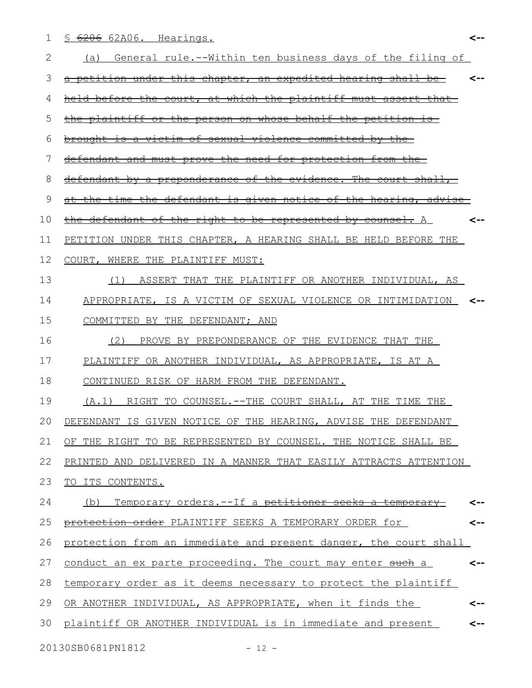§ 6206 62A06. Hearings. 1

| 2  | General rule.--Within ten business days of the filing of<br>(a)                  |
|----|----------------------------------------------------------------------------------|
| 3  | a petition under this chapter, an expedited hearing shall be                     |
| 4  | held before the court, at which the plaintiff must assert that                   |
| 5  | the plaintiff or the person on whose behalf the petition is-                     |
| 6  | brought is a victim of sexual violence committed by the                          |
| 7  | defendant and must prove the need for protection from the-                       |
| 8  | defendant by a preponderance of the evidence. The court shall,                   |
| 9  | the time the defendant is given notice of the hearing, advise                    |
| 10 | defendant of the right to be represented by counsel. A<br><del>the-</del><br><-- |
| 11 | PETITION UNDER THIS CHAPTER, A HEARING SHALL BE HELD BEFORE THE                  |
| 12 | COURT, WHERE THE PLAINTIFF MUST:                                                 |
| 13 | (1) ASSERT THAT THE PLAINTIFF OR ANOTHER INDIVIDUAL, AS                          |
| 14 | APPROPRIATE, IS A VICTIM OF SEXUAL VIOLENCE OR INTIMIDATION <--                  |
| 15 | COMMITTED BY THE DEFENDANT; AND                                                  |
| 16 | (2)<br>PROVE BY PREPONDERANCE OF THE EVIDENCE THAT THE                           |
| 17 | PLAINTIFF OR ANOTHER INDIVIDUAL, AS APPROPRIATE, IS AT A                         |
| 18 | CONTINUED RISK OF HARM FROM THE DEFENDANT.                                       |
| 19 | (A.1) RIGHT TO COUNSEL.--THE COURT SHALL, AT THE TIME THE                        |
| 20 | DEFENDANT IS GIVEN NOTICE OF THE HEARING, ADVISE THE DEFENDANT                   |
| 21 | OF THE RIGHT TO BE REPRESENTED BY COUNSEL. THE NOTICE SHALL BE                   |
| 22 | PRINTED AND DELIVERED IN A MANNER THAT EASILY ATTRACTS ATTENTION                 |
| 23 | TO ITS CONTENTS.                                                                 |
| 24 | Temporary orders.--If a petitioner seeks a temporary<br>(b)                      |
| 25 | protection order PLAINTIFF SEEKS A TEMPORARY ORDER for<br><--                    |
| 26 | protection from an immediate and present danger, the court shall                 |
|    |                                                                                  |
| 27 | conduct an ex parte proceeding. The court may enter such a<br><--                |
| 28 | temporary order as it deems necessary to protect the plaintiff                   |
| 29 | OR ANOTHER INDIVIDUAL, AS APPROPRIATE, when it finds the<br><--                  |
| 30 | plaintiff OR ANOTHER INDIVIDUAL is in immediate and present<br><--               |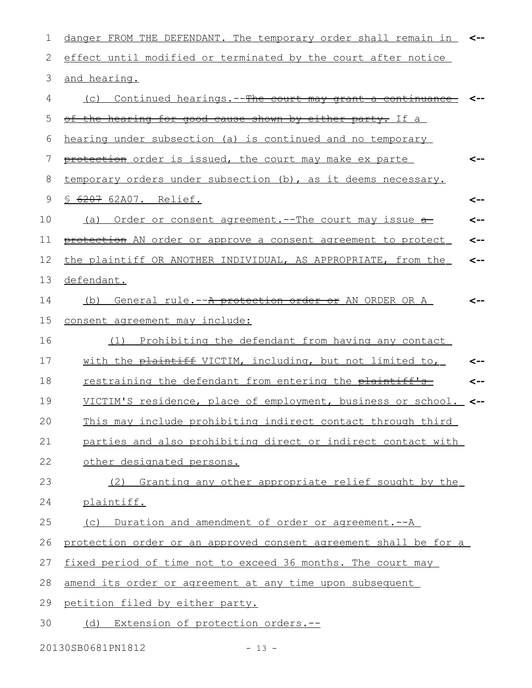| 1  | danger FROM THE DEFENDANT. The temporary order shall remain in   | <-- |
|----|------------------------------------------------------------------|-----|
| 2  | effect until modified or terminated by the court after notice    |     |
| 3  | and hearing.                                                     |     |
| 4  | Continued hearings. -- The court may grant a continuance<br>(C)  |     |
| 5  | <u>of the hearing for good cause shown by either party. If a</u> |     |
| 6  | hearing under subsection (a) is continued and no temporary       |     |
| 7  | protection order is issued, the court may make ex parte          | <-- |
| 8  | temporary orders under subsection (b), as it deems necessary.    |     |
| 9  | § 6207 62A07. Relief.                                            | <-- |
| 10 | (a) Order or consent agreement.--The court may issue a-          | <-- |
| 11 | protection AN order or approve a consent agreement to protect    | <-- |
| 12 | the plaintiff OR ANOTHER INDIVIDUAL, AS APPROPRIATE, from the    | <-- |
| 13 | defendant.                                                       |     |
| 14 | General rule.--A protection order or AN ORDER OR A<br>(b)        |     |
| 15 | consent agreement may include:                                   |     |
| 16 | Prohibiting the defendant from having any contact<br>(1)         |     |
| 17 | with the plaintiff VICTIM, including, but not limited to,        | --> |
| 18 | restraining the defendant from entering the plaintiff's          |     |
| 19 | VICTIM'S residence, place of employment, business or school.     | <-- |
| 20 | This may include prohibiting indirect contact through third      |     |
| 21 | parties and also prohibiting direct or indirect contact with     |     |
| 22 | other designated persons.                                        |     |
| 23 | (2) Granting any other appropriate relief sought by the          |     |
| 24 | plaintiff.                                                       |     |
| 25 | (c) Duration and amendment of order or agreement.--A             |     |
| 26 | protection order or an approved consent agreement shall be for a |     |
| 27 | fixed period of time not to exceed 36 months. The court may      |     |
| 28 | amend its order or agreement at any time upon subsequent         |     |
| 29 | petition filed by either party.                                  |     |
| 30 | (d) Extension of protection orders.--                            |     |

20130SB0681PN1812 - 13 -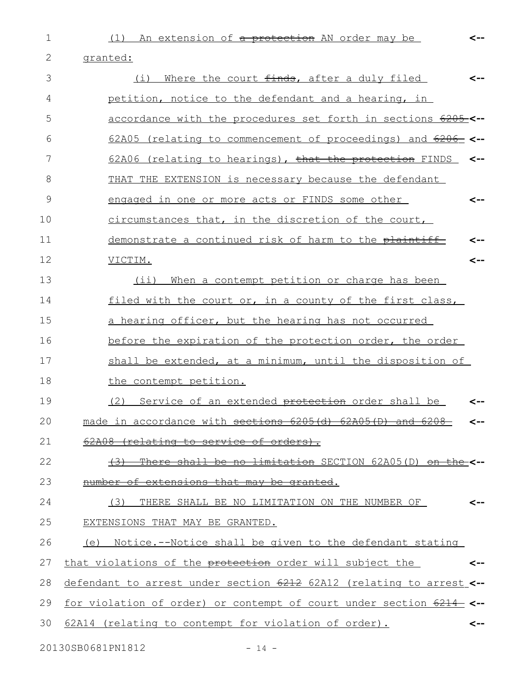(1) An extension of a protection AN order may be

**<--**

granted: (i) Where the court  $f$ inds, after a duly filed petition, notice to the defendant and a hearing, in accordance with the procedures set forth in sections 6205 **<--** 62A05 (relating to commencement of proceedings) and 6206 **<--** 62A06 (relating to hearings), that the protection FINDS THAT THE EXTENSION is necessary because the defendant engaged in one or more acts or FINDS some other circumstances that, in the discretion of the court, demonstrate a continued risk of harm to the plaintiff VICTIM. (ii) When a contempt petition or charge has been filed with the court or, in a county of the first class, a hearing officer, but the hearing has not occurred before the expiration of the protection order, the order shall be extended, at a minimum, until the disposition of the contempt petition. (2) Service of an extended <del>protection</del> order shall be made in accordance with sections 6205(d) 62A05(D) and 6208- 62A08 (relating to service of orders). (3) There shall be no limitation SECTION 62A05(D) on the **<-** number of extensions that may be granted. (3) THERE SHALL BE NO LIMITATION ON THE NUMBER OF EXTENSIONS THAT MAY BE GRANTED. (e) Notice.--Notice shall be given to the defendant stating that violations of the protection order will subject the defendant to arrest under section 6212 62A12 (relating to arrest **<-** for violation of order) or contempt of court under section 6214 **<--** 62A14 (relating to contempt for violation of order). **<-- <-- <-- <-- <-- <-- <-- <-- <-- <--** 2 3 4 5 6 7 8 9 10 11 12 13 14 15 16 17 18 19 20 21 22 23 24 25 26 27 28 29 30

1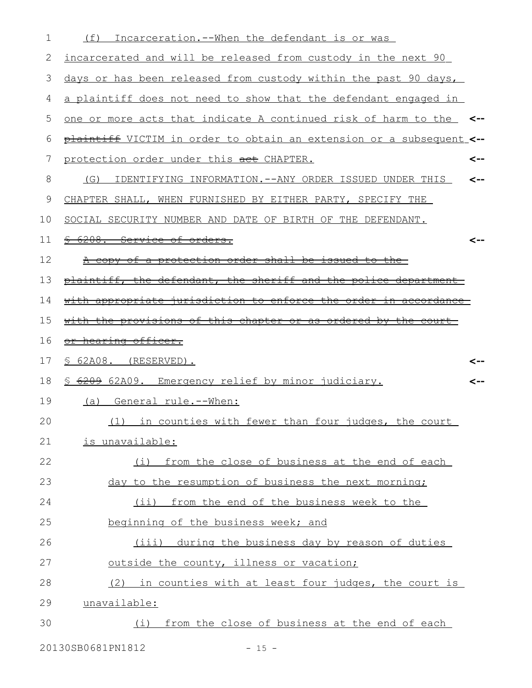| 1  | Incarceration.--When the defendant is or was<br>(f)                  |     |
|----|----------------------------------------------------------------------|-----|
| 2  | incarcerated and will be released from custody in the next 90        |     |
| 3  | days or has been released from custody within the past 90 days,      |     |
| 4  | a plaintiff does not need to show that the defendant engaged in      |     |
| 5  | one or more acts that indicate A continued risk of harm to the <--   |     |
| 6  | plaintiff VICTIM in order to obtain an extension or a subsequent <-- |     |
| 7  | protection order under this act CHAPTER.                             | <-- |
| 8  | (G)<br>IDENTIFYING INFORMATION.--ANY ORDER ISSUED UNDER THIS         |     |
| 9  | CHAPTER SHALL, WHEN FURNISHED BY EITHER PARTY, SPECIFY THE           |     |
| 10 | SOCIAL SECURITY NUMBER AND DATE OF BIRTH OF THE DEFENDANT.           |     |
| 11 | 6208. Service of orders.                                             |     |
| 12 | A copy of a protection order shall be issued to the                  |     |
| 13 | plaintiff, the defendant, the sheriff and the police department      |     |
| 14 | with appropriate jurisdiction to enforce the order in accordance     |     |
| 15 | with the provisions of this chapter or as ordered by the court       |     |
| 16 | or hearing officer.                                                  |     |
| 17 | $$62A08.$ (RESERVED).                                                |     |
| 18 | <u>S 6209 62A09. Emergency relief by minor judiciary.</u>            |     |
| 19 | (a)<br>General rule.--When:                                          |     |
| 20 | (1) in counties with fewer than four judges, the court               |     |
| 21 | is unavailable:                                                      |     |
| 22 | (i) from the close of business at the end of each                    |     |
| 23 | day to the resumption of business the next morning;                  |     |
| 24 | (ii) from the end of the business week to the                        |     |
| 25 | beginning of the business week; and                                  |     |
| 26 | (iii) during the business day by reason of duties                    |     |
| 27 | outside the county, illness or vacation;                             |     |
| 28 | (2) in counties with at least four judges, the court is              |     |
| 29 | unavailable:                                                         |     |
| 30 | (i) from the close of business at the end of each                    |     |
|    |                                                                      |     |

20130SB0681PN1812 - 15 -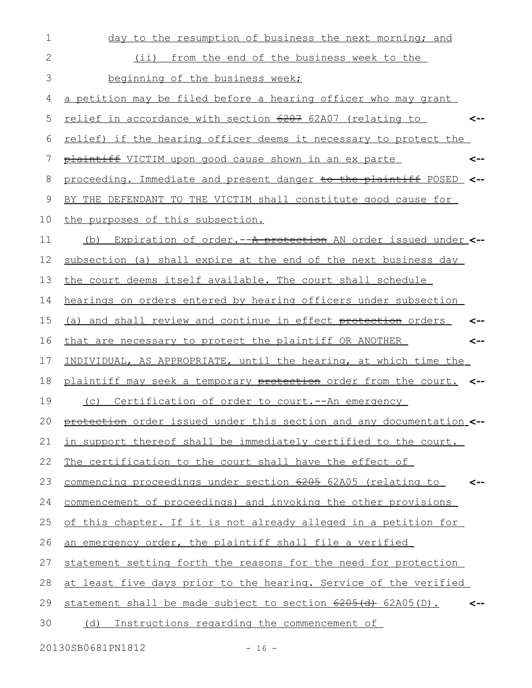| $\mathbf 1$ | day to the resumption of business the next morning; and               |
|-------------|-----------------------------------------------------------------------|
| 2           | from the end of the business week to the<br>$(i$ i)                   |
| 3           | beginning of the business week;                                       |
| 4           | a petition may be filed before a hearing officer who may grant        |
| 5           | relief in accordance with section 6207 62A07 (relating to<br><--      |
| 6           | relief) if the hearing officer deems it necessary to protect the      |
| 7           | plaintiff VICTIM upon good cause shown in an ex parte<br><--          |
| 8           | proceeding. Immediate and present danger to the plaintiff POSED <--   |
| $\mathsf 9$ | BY THE DEFENDANT TO THE VICTIM shall constitute good cause for        |
| 10          | the purposes of this subsection.                                      |
| 11          | Expiration of order. -- A protection AN order issued under <--<br>(b) |
| 12          | subsection (a) shall expire at the end of the next business day       |
| 13          | the court deems itself available. The court shall schedule            |
| 14          | hearings on orders entered by hearing officers under subsection       |
| 15          | (a) and shall review and continue in effect protection orders         |
| 16          | that are necessary to protect the plaintiff OR ANOTHER<br><--         |
| 17          | INDIVIDUAL, AS APPROPRIATE, until the hearing, at which time the      |
| 18          | plaintiff may seek a temporary protection order from the court. <--   |
| 19          | Certification of order to court. -- An emergency<br>(C)               |
| 20          | protection order issued under this section and any documentation <--  |
| 21          | in support thereof shall be immediately certified to the court.       |
| 22          | The certification to the court shall have the effect of               |
| 23          | commencing proceedings under section 6205 62A05 (relating to<br><--   |
| 24          | commencement of proceedings) and invoking the other provisions        |
| 25          | of this chapter. If it is not already alleged in a petition for       |
| 26          | an emergency order, the plaintiff shall file a verified               |
| 27          | statement setting forth the reasons for the need for protection       |
| 28          | at least five days prior to the hearing. Service of the verified      |
| 29          | statement shall be made subject to section 6205(d) 62A05(D).          |
| 30          | Instructions regarding the commencement of<br>(d)                     |
|             |                                                                       |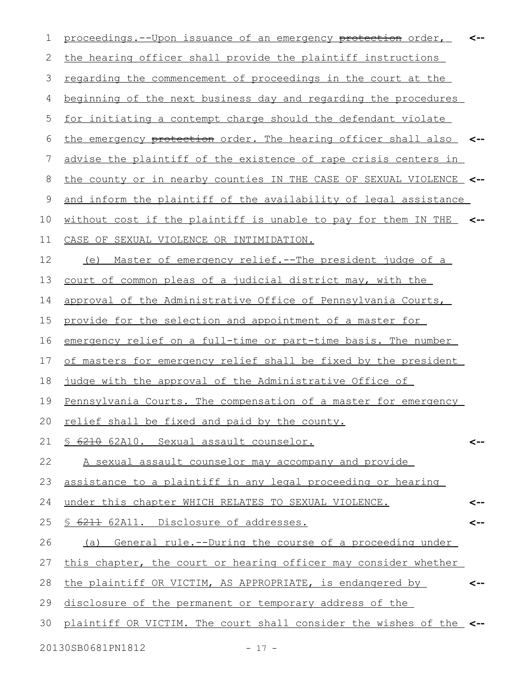| 1  | proceedings.--Upon issuance of an emergency protection order,        | <-- |
|----|----------------------------------------------------------------------|-----|
| 2  | the hearing officer shall provide the plaintiff instructions         |     |
| 3  | <u>regarding the commencement of proceedings in the court at the</u> |     |
| 4  | beginning of the next business day and regarding the procedures      |     |
| 5  | for initiating a contempt charge should the defendant violate        |     |
| 6  | the emergency protection order. The hearing officer shall also       |     |
| 7  | advise the plaintiff of the existence of rape crisis centers in      |     |
| 8  | the county or in nearby counties IN THE CASE OF SEXUAL VIOLENCE_ <-- |     |
| 9  | and inform the plaintiff of the availability of legal assistance     |     |
| 10 | without cost if the plaintiff is unable to pay for them IN THE       |     |
| 11 | CASE OF SEXUAL VIOLENCE OR INTIMIDATION.                             |     |
| 12 | <u>Master of emergency relief.--The president judge of a</u><br>(e)  |     |
| 13 | court of common pleas of a judicial district may, with the           |     |
| 14 | approval of the Administrative Office of Pennsylvania Courts,        |     |
| 15 | provide for the selection and appointment of a master for            |     |
| 16 | emergency relief on a full-time or part-time basis. The number       |     |
| 17 | of masters for emergency relief shall be fixed by the president      |     |
| 18 | judge with the approval of the Administrative Office of              |     |
| 19 | Pennsylvania Courts. The compensation of a master for emergency      |     |
|    | 20 relief shall be fixed and paid by the county.                     |     |
| 21 | S 6210 62A10. Sexual assault counselor.                              | <-- |
| 22 | A sexual assault counselor may accompany and provide                 |     |
| 23 | assistance to a plaintiff in any legal proceeding or hearing         |     |
| 24 | under this chapter WHICH RELATES TO SEXUAL VIOLENCE.                 |     |
| 25 | § 6211 62A11. Disclosure of addresses.                               |     |
| 26 | General rule.--During the course of a proceeding under<br>(a)        |     |
| 27 | this chapter, the court or hearing officer may consider whether      |     |
| 28 | the plaintiff OR VICTIM, AS APPROPRIATE, is endangered by            | <-- |
| 29 | disclosure of the permanent or temporary address of the              |     |
| 30 | plaintiff OR VICTIM. The court shall consider the wishes of the <--  |     |
|    | 20130SB0681PN1812<br>$-17 -$                                         |     |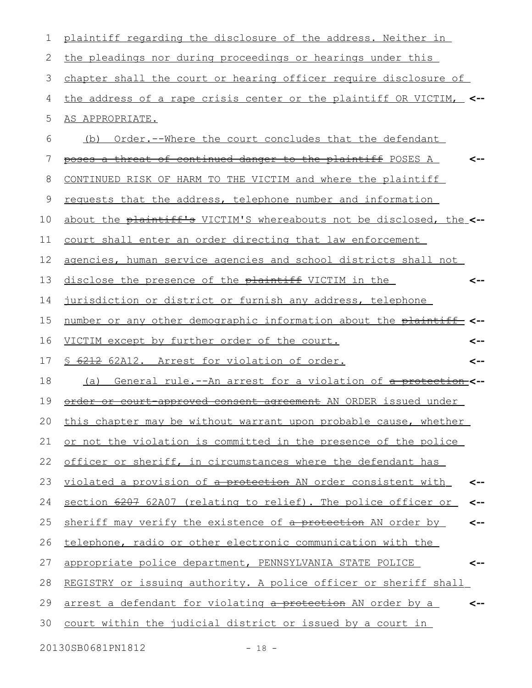| 1  | plaintiff regarding the disclosure of the address. Neither in        |     |
|----|----------------------------------------------------------------------|-----|
| 2  | the pleadings nor during proceedings or hearings under this          |     |
| 3  | chapter shall the court or hearing officer require disclosure of     |     |
| 4  | the address of a rape crisis center or the plaintiff OR VICTIM,      |     |
| 5  | AS APPROPRIATE.                                                      |     |
| 6  | Order.--Where the court concludes that the defendant<br>(b)          |     |
| 7  | poses a threat of continued danger to the plaintiff POSES A          |     |
| 8  | CONTINUED RISK OF HARM TO THE VICTIM and where the plaintiff         |     |
| 9  | requests that the address, telephone number and information          |     |
| 10 | about the plaintiff's VICTIM'S whereabouts not be disclosed, the <-- |     |
| 11 | court shall enter an order directing that law enforcement            |     |
| 12 | agencies, human service agencies and school districts shall not      |     |
| 13 | disclose the presence of the plaintiff VICTIM in the                 | <-- |
| 14 | jurisdiction or district or furnish any address, telephone           |     |
| 15 | number or any other demographic information about the plaintiff <--  |     |
| 16 | VICTIM except by further order of the court.                         | <-- |
| 17 | 6212 62A12. Arrest for violation of order.                           | <-- |
| 18 | General rule.--An arrest for a violation of a protection-<--<br>(a)  |     |
| 19 | order or court approved consent agreement AN ORDER issued under      |     |
|    | 20 this chapter may be without warrant upon probable cause, whether  |     |
| 21 | or not the violation is committed in the presence of the police      |     |
| 22 | officer or sheriff, in circumstances where the defendant has         |     |
| 23 | violated a provision of a protection AN order consistent with        |     |
| 24 | section 6207 62A07 (relating to relief). The police officer or       | <-- |
| 25 | sheriff may verify the existence of a protection AN order by         | <-- |
| 26 | telephone, radio or other electronic communication with the          |     |
| 27 | appropriate police department, PENNSYLVANIA STATE POLICE             |     |
| 28 | REGISTRY or issuing authority. A police officer or sheriff shall     |     |
| 29 | arrest a defendant for violating a protection AN order by a          |     |
| 30 | <u>court within the judicial district or issued by a court in</u>    |     |
|    | 20130SB0681PN1812<br>$-18 -$                                         |     |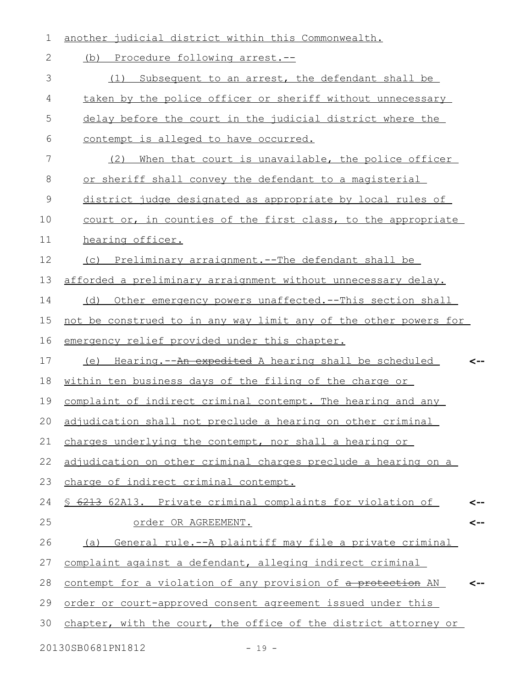| $\mathbf 1$    | another judicial district within this Commonwealth.              |  |
|----------------|------------------------------------------------------------------|--|
| $\mathbf{2}$   | (b) Procedure following arrest.--                                |  |
| 3              | Subsequent to an arrest, the defendant shall be<br>(1)           |  |
| 4              | taken by the police officer or sheriff without unnecessary       |  |
| 5              | delay before the court in the judicial district where the        |  |
| 6              | contempt is alleged to have occurred.                            |  |
| 7              | (2)<br>When that court is unavailable, the police officer        |  |
| 8              | or sheriff shall convey the defendant to a magisterial           |  |
| $\overline{9}$ | district judge designated as appropriate by local rules of       |  |
| 10             | court or, in counties of the first class, to the appropriate     |  |
| 11             | hearing officer.                                                 |  |
| 12             | (c) Preliminary arraignment.--The defendant shall be             |  |
| 13             | afforded a preliminary arraignment without unnecessary delay.    |  |
| 14             | (d) Other emergency powers unaffected.--This section shall       |  |
| 15             | not be construed to in any way limit any of the other powers for |  |
| 16             | emergency relief provided under this chapter.                    |  |
| 17             | (e) Hearing.--An expedited A hearing shall be scheduled          |  |
| 18             | within ten business days of the filing of the charge or          |  |
| 19             | complaint of indirect criminal contempt. The hearing and any     |  |
|                | 20 adjudication shall not preclude a hearing on other criminal   |  |
| 21             | charges underlying the contempt, nor shall a hearing or          |  |
| 22             | adjudication on other criminal charges preclude a hearing on a   |  |
| 23             | charge of indirect criminal contempt.                            |  |
| 24             | § 6213 62A13. Private criminal complaints for violation of       |  |
| 25             | order OR AGREEMENT.                                              |  |
| 26             | General rule.--A plaintiff may file a private criminal<br>(a)    |  |
| 27             | complaint against a defendant, alleging indirect criminal        |  |
| 28             | contempt for a violation of any provision of a protection AN     |  |
| 29             | order or court-approved consent agreement issued under this      |  |
| 30             | chapter, with the court, the office of the district attorney or  |  |
|                | 20130SB0681PN1812<br>$-19 -$                                     |  |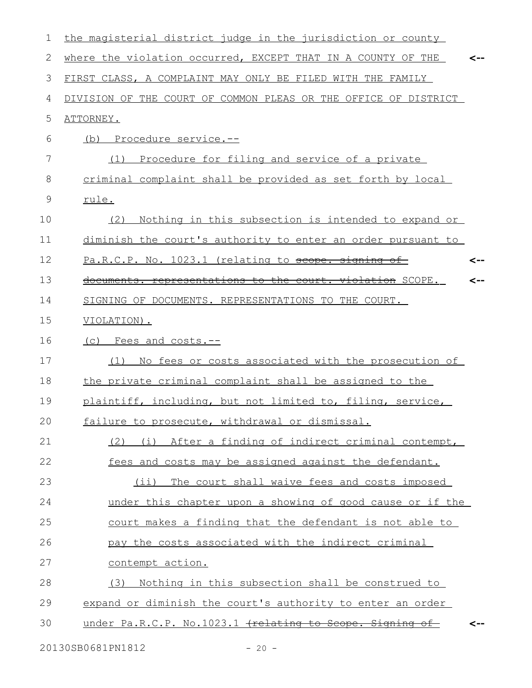| 1  | the magisterial district judge in the jurisdiction or county    |     |
|----|-----------------------------------------------------------------|-----|
| 2  | where the violation occurred, EXCEPT THAT IN A COUNTY OF THE    |     |
| 3  | FIRST CLASS, A COMPLAINT MAY ONLY BE FILED WITH THE FAMILY      |     |
| 4  | DIVISION OF THE COURT OF COMMON PLEAS OR THE OFFICE OF DISTRICT |     |
| 5  | ATTORNEY.                                                       |     |
| 6  | Procedure service.--<br>(b)                                     |     |
| 7  | Procedure for filing and service of a private<br>(1)            |     |
| 8  | criminal complaint shall be provided as set forth by local      |     |
| 9  | rule.                                                           |     |
| 10 | Nothing in this subsection is intended to expand or<br>(2)      |     |
| 11 | diminish the court's authority to enter an order pursuant to    |     |
| 12 | Pa.R.C.P. No. 1023.1 (relating to scope. signing of-            | <-- |
| 13 | documents. representations to the court. violation SCOPE.       | <-- |
| 14 | SIGNING OF DOCUMENTS. REPRESENTATIONS TO THE COURT.             |     |
| 15 | VIOLATION).                                                     |     |
| 16 | (c) Fees and costs.--                                           |     |
| 17 | No fees or costs associated with the prosecution of<br>(1)      |     |
| 18 | the private criminal complaint shall be assigned to the         |     |
| 19 | plaintiff, including, but not limited to, filing, service,      |     |
| 20 | failure to prosecute, withdrawal or dismissal.                  |     |
| 21 | (2) (i) After a finding of indirect criminal contempt,          |     |
| 22 | fees and costs may be assigned against the defendant.           |     |
| 23 | (ii) The court shall waive fees and costs imposed               |     |
| 24 | under this chapter upon a showing of good cause or if the       |     |
| 25 | court makes a finding that the defendant is not able to         |     |
| 26 | pay the costs associated with the indirect criminal             |     |
| 27 | contempt action.                                                |     |
| 28 | (3) Nothing in this subsection shall be construed to            |     |
| 29 | expand or diminish the court's authority to enter an order      |     |
| 30 | under Pa.R.C.P. No.1023.1 (relating to Scope. Signing of        |     |
|    |                                                                 |     |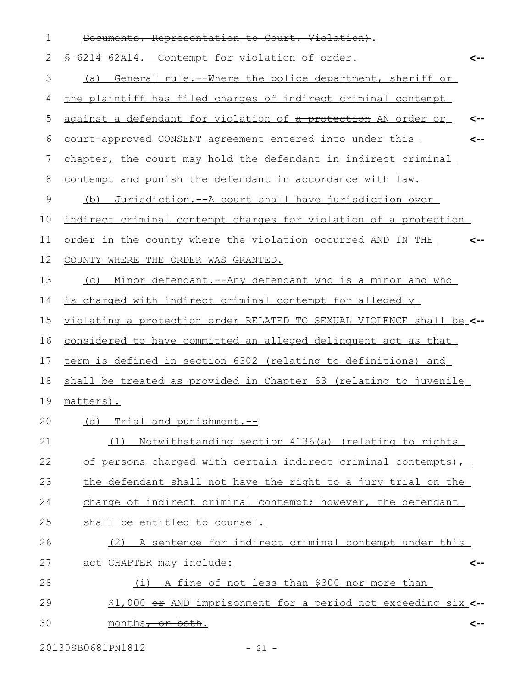| 1             | Documents. Representation to Court. Violation).                      |
|---------------|----------------------------------------------------------------------|
| 2             | 6214 62A14. Contempt for violation of order.<br>S<br><--             |
| 3             | General rule.--Where the police department, sheriff or<br>(a)        |
| 4             | the plaintiff has filed charges of indirect criminal contempt        |
| 5             | against a defendant for violation of a protection AN order or<br><-- |
| 6             | court-approved CONSENT agreement entered into under this<br><--      |
| 7             | chapter, the court may hold the defendant in indirect criminal       |
| 8             | contempt and punish the defendant in accordance with law.            |
| $\mathcal{G}$ | Jurisdiction. -- A court shall have jurisdiction over<br>(b)         |
| 10            | indirect criminal contempt charges for violation of a protection     |
| 11            | order in the county where the violation occurred AND IN THE<br>-->   |
| 12            | COUNTY WHERE THE ORDER WAS GRANTED.                                  |
| 13            | Minor defendant.--Any defendant who is a minor and who<br>(C)        |
| 14            | is charged with indirect criminal contempt for allegedly             |
| 15            | violating a protection order RELATED TO SEXUAL VIOLENCE shall be_<-- |
| 16            | considered to have committed an alleged delinguent act as that       |
| 17            | term is defined in section 6302 (relating to definitions) and        |
| 18            | shall be treated as provided in Chapter 63 (relating to juvenile     |
| 19            | matters).                                                            |
| 20            | (d) Trial and punishment.--                                          |
| 21            | Notwithstanding section 4136(a) (relating to rights<br>(1)           |
| 22            | of persons charged with certain indirect criminal contempts),        |
| 23            | the defendant shall not have the right to a jury trial on the        |
| 24            | charge of indirect criminal contempt; however, the defendant         |
| 25            | shall be entitled to counsel.                                        |
| 26            | (2) A sentence for indirect criminal contempt under this             |
| 27            | act CHAPTER may include:<br><--                                      |
| 28            | (i) A fine of not less than \$300 nor more than                      |
| 29            | \$1,000 or AND imprisonment for a period not exceeding six <--       |
| 30            | months <del>, or both</del> .<br><--                                 |

20130SB0681PN1812 - 21 -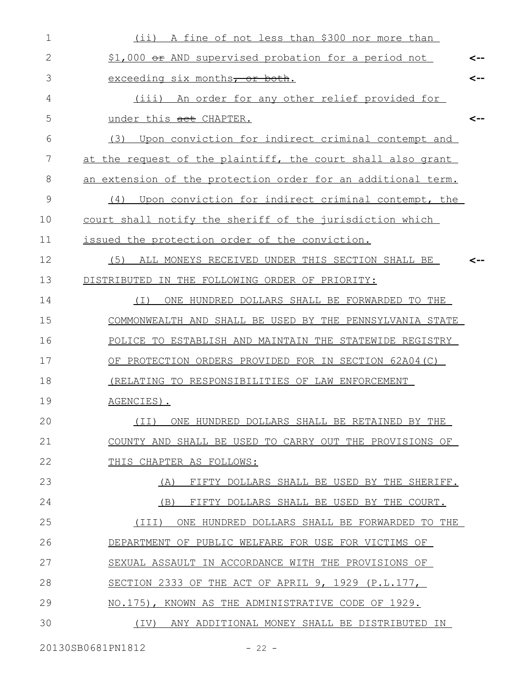| (ii) A fine of not less than \$300 nor more than             |                                                     |
|--------------------------------------------------------------|-----------------------------------------------------|
| \$1,000 or AND supervised probation for a period not         | <--                                                 |
| exceeding six months, or both.                               | <--                                                 |
| (iii) An order for any other relief provided for             |                                                     |
| under this act CHAPTER.                                      | <--                                                 |
| Upon conviction for indirect criminal contempt and<br>(3)    |                                                     |
| at the request of the plaintiff, the court shall also grant  |                                                     |
| an extension of the protection order for an additional term. |                                                     |
| (4)                                                          |                                                     |
| court shall notify the sheriff of the jurisdiction which     |                                                     |
| issued the protection order of the conviction.               |                                                     |
| (5)<br>ALL MONEYS RECEIVED UNDER THIS SECTION SHALL BE       |                                                     |
| DISTRIBUTED IN THE FOLLOWING ORDER OF PRIORITY:              |                                                     |
| ONE HUNDRED DOLLARS SHALL BE FORWARDED TO THE<br>(I)         |                                                     |
| COMMONWEALTH AND SHALL BE USED BY THE PENNSYLVANIA STATE     |                                                     |
| POLICE TO ESTABLISH AND MAINTAIN THE STATEWIDE REGISTRY      |                                                     |
| OF PROTECTION ORDERS PROVIDED FOR IN SECTION 62A04(C)        |                                                     |
| (RELATING TO RESPONSIBILITIES OF LAW ENFORCEMENT             |                                                     |
| AGENCIES).                                                   |                                                     |
| ONE HUNDRED DOLLARS SHALL BE RETAINED BY THE<br>(TI)         |                                                     |
| COUNTY AND SHALL BE USED TO CARRY OUT THE PROVISIONS OF      |                                                     |
| THIS CHAPTER AS FOLLOWS:                                     |                                                     |
| FIFTY DOLLARS SHALL BE USED BY THE SHERIFF.<br>(A)           |                                                     |
| (B)<br>FIFTY DOLLARS SHALL BE USED BY THE COURT.             |                                                     |
| ONE HUNDRED DOLLARS SHALL BE FORWARDED TO THE<br>(III)       |                                                     |
| DEPARTMENT OF PUBLIC WELFARE FOR USE FOR VICTIMS OF          |                                                     |
| SEXUAL ASSAULT IN ACCORDANCE WITH THE PROVISIONS OF          |                                                     |
| SECTION 2333 OF THE ACT OF APRIL 9, 1929 (P.L.177,           |                                                     |
| NO.175), KNOWN AS THE ADMINISTRATIVE CODE OF 1929.           |                                                     |
| (IV) ANY ADDITIONAL MONEY SHALL BE DISTRIBUTED IN            |                                                     |
|                                                              | Upon conviction for indirect criminal contempt, the |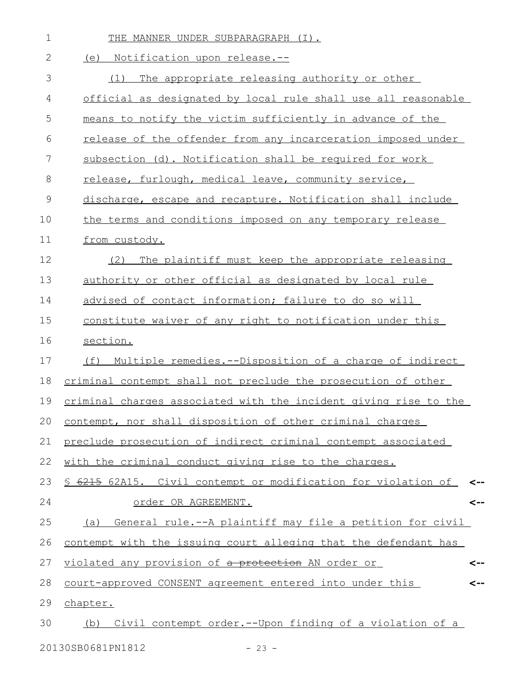| $\mathbf 1$   | THE MANNER UNDER SUBPARAGRAPH (I).                               |     |
|---------------|------------------------------------------------------------------|-----|
| $\mathbf{2}$  | (e) Notification upon release.--                                 |     |
| 3             | The appropriate releasing authority or other<br>(1)              |     |
| 4             | official as designated by local rule shall use all reasonable    |     |
| 5             | means to notify the victim sufficiently in advance of the        |     |
| 6             | release of the offender from any incarceration imposed under     |     |
| 7             | subsection (d). Notification shall be required for work          |     |
| 8             | release, furlough, medical leave, community service,             |     |
| $\mathcal{G}$ | discharge, escape and recapture. Notification shall include      |     |
| 10            | the terms and conditions imposed on any temporary release        |     |
| 11            | from custody.                                                    |     |
| 12            | The plaintiff must keep the appropriate releasing<br>(2)         |     |
| 13            | authority or other official as designated by local rule          |     |
| 14            | advised of contact information; failure to do so will            |     |
| 15            | constitute waiver of any right to notification under this        |     |
| 16            | section.                                                         |     |
| 17            | Multiple remedies. -- Disposition of a charge of indirect<br>(f) |     |
| 18            | criminal contempt shall not preclude the prosecution of other    |     |
| 19            | criminal charges associated with the incident giving rise to the |     |
|               | 20 contempt, nor shall disposition of other criminal charges     |     |
| 21            | preclude prosecution of indirect criminal contempt associated    |     |
| 22            | with the criminal conduct giving rise to the charges.            |     |
| 23            | § 6215 62A15. Civil contempt or modification for violation of    | <-- |
| 24            | order OR AGREEMENT.                                              | <-- |
| 25            | (a) General rule.--A plaintiff may file a petition for civil     |     |
| 26            | contempt with the issuing court alleging that the defendant has  |     |
| 27            | violated any provision of a protection AN order or               | <-- |
| 28            | court-approved CONSENT agreement entered into under this         | <-- |
| 29            | chapter.                                                         |     |
| 30            | (b) Civil contempt order.--Upon finding of a violation of a      |     |
|               | 20130SB0681PN1812<br>$-23 -$                                     |     |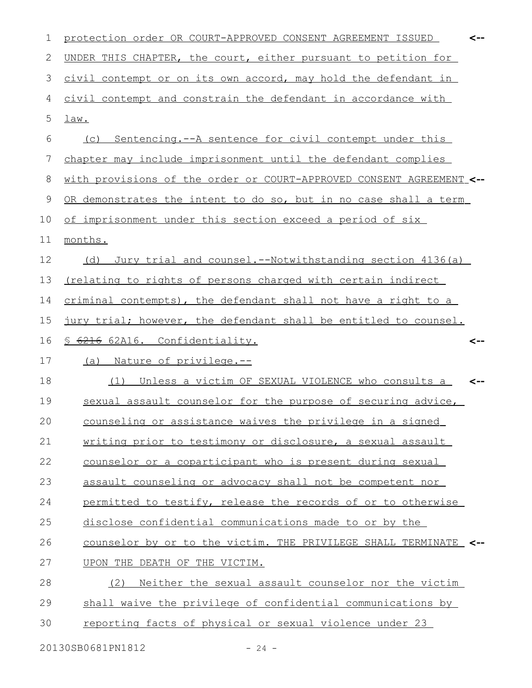| 1  | protection order OR COURT-APPROVED CONSENT AGREEMENT ISSUED          |     |
|----|----------------------------------------------------------------------|-----|
| 2  | UNDER THIS CHAPTER, the court, either pursuant to petition for       |     |
| 3  | civil contempt or on its own accord, may hold the defendant in       |     |
| 4  | civil contempt and constrain the defendant in accordance with        |     |
| 5  | $\frac{\text{law.}}{\text{law.}}$                                    |     |
| 6  | (c) Sentencing.--A sentence for civil contempt under this            |     |
| 7  | chapter may include imprisonment until the defendant complies        |     |
| 8  | with provisions of the order or COURT-APPROVED CONSENT AGREEMENT <-- |     |
| 9  | OR demonstrates the intent to do so, but in no case shall a term     |     |
| 10 | of imprisonment under this section exceed a period of six            |     |
| 11 | months.                                                              |     |
| 12 | Jury trial and counsel.--Notwithstanding section 4136(a)<br>(d)      |     |
| 13 | (relating to rights of persons charged with certain indirect         |     |
| 14 | criminal contempts), the defendant shall not have a right to a       |     |
| 15 | jury trial; however, the defendant shall be entitled to counsel.     |     |
|    |                                                                      |     |
| 16 | § 6216 62A16. Confidentiality.                                       | <-- |
| 17 | (a) Nature of privilege.--                                           |     |
| 18 | Unless a victim OF SEXUAL VIOLENCE who consults a<br>(1)             |     |
| 19 | sexual assault counselor for the purpose of securing advice,         |     |
| 20 | counseling or assistance waives the privilege in a signed            |     |
| 21 | writing prior to testimony or disclosure, a sexual assault           |     |
| 22 | counselor or a coparticipant who is present during sexual            |     |
| 23 | assault counseling or advocacy shall not be competent nor            |     |
| 24 | permitted to testify, release the records of or to otherwise         |     |
| 25 | disclose confidential communications made to or by the               |     |
| 26 | counselor by or to the victim. THE PRIVILEGE SHALL TERMINATE <--     |     |
| 27 | UPON THE DEATH OF THE VICTIM.                                        |     |
| 28 | Neither the sexual assault counselor nor the victim<br>(2)           |     |
| 29 | shall waive the privilege of confidential communications by          |     |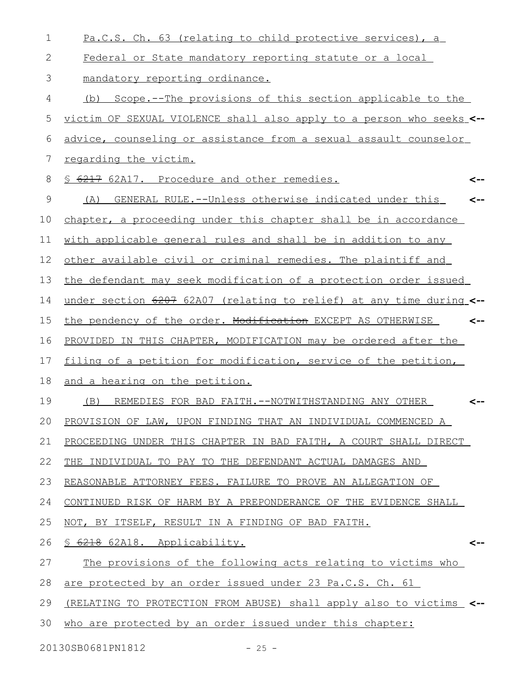| $\mathbf 1$ | Pa.C.S. Ch. 63 (relating to child protective services), a            |
|-------------|----------------------------------------------------------------------|
| 2           | Federal or State mandatory reporting statute or a local              |
| 3           | mandatory reporting ordinance.                                       |
| 4           | Scope.--The provisions of this section applicable to the<br>(b)      |
| 5           | victim OF SEXUAL VIOLENCE shall also apply to a person who seeks <-- |
| 6           | advice, counseling or assistance from a sexual assault counselor     |
| 7           | regarding the victim.                                                |
| 8           | \$ 6217 62A17. Procedure and other remedies.<br><--                  |
| 9           | GENERAL RULE. -- Unless otherwise indicated under this<br>(A)<br><-- |
| 10          | chapter, a proceeding under this chapter shall be in accordance      |
| 11          | with applicable general rules and shall be in addition to any        |
| 12          | other available civil or criminal remedies. The plaintiff and        |
| 13          | the defendant may seek modification of a protection order issued     |
| 14          | under section 6207 62A07 (relating to relief) at any time during <-- |
| 15          | the pendency of the order. Modification EXCEPT AS OTHERWISE<br><--   |
| 16          | PROVIDED IN THIS CHAPTER, MODIFICATION may be ordered after the      |
| 17          | filing of a petition for modification, service of the petition,      |
| 18          | and a hearing on the petition.                                       |
| 19          | REMEDIES FOR BAD FAITH.--NOTWITHSTANDING ANY OTHER<br>(B)            |
| 20          | PROVISION OF LAW, UPON FINDING THAT AN INDIVIDUAL COMMENCED A        |
| 21          | PROCEEDING UNDER THIS CHAPTER IN BAD FAITH, A COURT SHALL DIRECT     |
| 22          | THE INDIVIDUAL TO PAY TO THE DEFENDANT ACTUAL DAMAGES AND            |
| 23          | REASONABLE ATTORNEY FEES. FAILURE TO PROVE AN ALLEGATION OF          |
| 24          | CONTINUED RISK OF HARM BY A PREPONDERANCE OF THE EVIDENCE SHALL      |
| 25          | NOT, BY ITSELF, RESULT IN A FINDING OF BAD FAITH.                    |
| 26          | S 6218 62A18. Applicability.<br><--                                  |
| 27          | The provisions of the following acts relating to victims who         |
| 28          | are protected by an order issued under 23 Pa.C.S. Ch. 61             |
| 29          | (RELATING TO PROTECTION FROM ABUSE) shall apply also to victims      |
| 30          | who are protected by an order issued under this chapter:             |
|             |                                                                      |

20130SB0681PN1812 - 25 -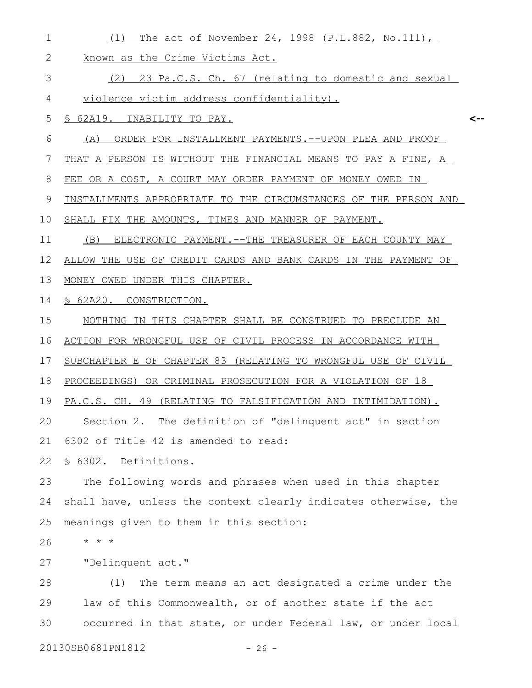| $\mathbf 1$  | The act of November 24, 1998 (P.L.882, No.111),<br>(1)          |
|--------------|-----------------------------------------------------------------|
| $\mathbf{2}$ | known as the Crime Victims Act.                                 |
| 3            | (2) 23 Pa.C.S. Ch. 67 (relating to domestic and sexual          |
| 4            | violence victim address confidentiality).                       |
| 5            | S 62A19. INABILITY TO PAY.<br><--                               |
| 6            | ORDER FOR INSTALLMENT PAYMENTS. -- UPON PLEA AND PROOF<br>(A)   |
| 7            | THAT A PERSON IS WITHOUT THE FINANCIAL MEANS TO PAY A FINE, A   |
| 8            | FEE OR A COST, A COURT MAY ORDER PAYMENT OF MONEY OWED IN       |
| 9            | INSTALLMENTS APPROPRIATE TO THE CIRCUMSTANCES OF THE PERSON AND |
| 10           | SHALL FIX THE AMOUNTS, TIMES AND MANNER OF PAYMENT.             |
| 11           | (B)<br>ELECTRONIC PAYMENT. -- THE TREASURER OF EACH COUNTY MAY  |
| 12           | ALLOW THE USE OF CREDIT CARDS AND BANK CARDS IN THE PAYMENT OF  |
| 13           | MONEY OWED UNDER THIS CHAPTER.                                  |
| 14           | § 62A20. CONSTRUCTION.                                          |
| 15           | NOTHING IN THIS CHAPTER SHALL BE CONSTRUED TO PRECLUDE AN       |
| 16           | ACTION FOR WRONGFUL USE OF CIVIL PROCESS IN ACCORDANCE WITH     |
| 17           | SUBCHAPTER E OF CHAPTER 83 (RELATING TO WRONGFUL USE OF CIVIL   |
| 18           | PROCEEDINGS) OR CRIMINAL PROSECUTION FOR A VIOLATION OF 18      |
| 19           | PA.C.S. CH. 49 (RELATING TO FALSIFICATION AND INTIMIDATION).    |
|              | 20 Section 2. The definition of "delinquent act" in section     |
| 21           | 6302 of Title 42 is amended to read:                            |
| 22           | § 6302. Definitions.                                            |
| 23           | The following words and phrases when used in this chapter       |
| 24           | shall have, unless the context clearly indicates otherwise, the |
| 25           | meanings given to them in this section:                         |
| 26           | $\star$ $\star$ $\star$                                         |
| 27           | "Delinquent act."                                               |
| 28           | The term means an act designated a crime under the<br>(1)       |
| 29           | law of this Commonwealth, or of another state if the act        |
| 30           | occurred in that state, or under Federal law, or under local    |
|              |                                                                 |

20130SB0681PN1812 - 26 -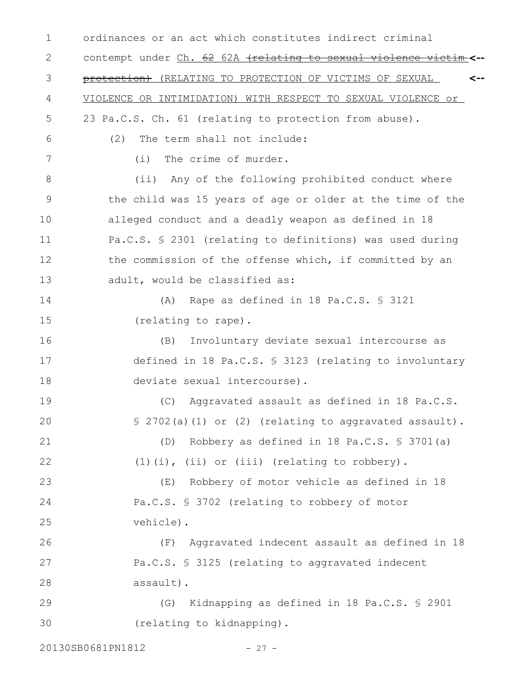ordinances or an act which constitutes indirect criminal contempt under Ch. 62 62A (relating to sexual violence victim **<-** protection) (RELATING TO PROTECTION OF VICTIMS OF SEXUAL VIOLENCE OR INTIMIDATION) WITH RESPECT TO SEXUAL VIOLENCE or 23 Pa.C.S. Ch. 61 (relating to protection from abuse). (2) The term shall not include: (i) The crime of murder. (ii) Any of the following prohibited conduct where the child was 15 years of age or older at the time of the alleged conduct and a deadly weapon as defined in 18 Pa.C.S. § 2301 (relating to definitions) was used during the commission of the offense which, if committed by an adult, would be classified as: (A) Rape as defined in 18 Pa.C.S. § 3121 (relating to rape). (B) Involuntary deviate sexual intercourse as defined in 18 Pa.C.S. § 3123 (relating to involuntary deviate sexual intercourse). (C) Aggravated assault as defined in 18 Pa.C.S. § 2702(a)(1) or (2) (relating to aggravated assault). (D) Robbery as defined in 18 Pa.C.S. § 3701(a) (1)(i), (ii) or (iii) (relating to robbery). (E) Robbery of motor vehicle as defined in 18 Pa.C.S. § 3702 (relating to robbery of motor vehicle). (F) Aggravated indecent assault as defined in 18 Pa.C.S. § 3125 (relating to aggravated indecent assault). (G) Kidnapping as defined in 18 Pa.C.S. § 2901 (relating to kidnapping). 20130SB0681PN1812 - 27 -**<--** 1 2 3 4 5 6 7 8 9 10 11 12 13 14 15 16 17 18 19 20 21 22 23 24 25 26 27 28 29 30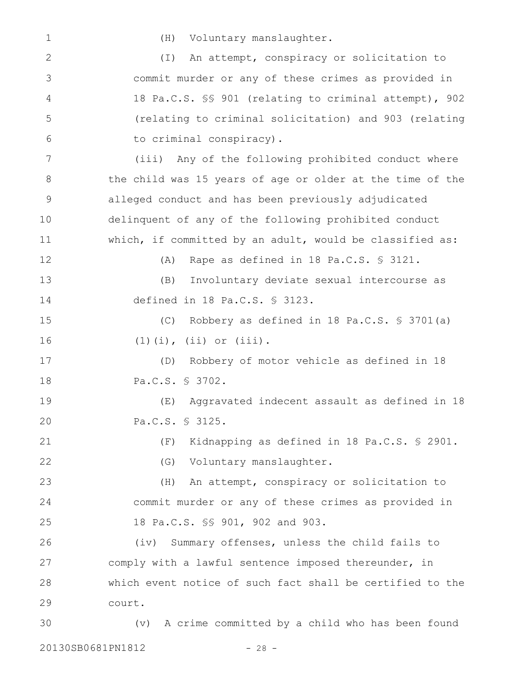1

(H) Voluntary manslaughter.

(I) An attempt, conspiracy or solicitation to commit murder or any of these crimes as provided in 18 Pa.C.S. §§ 901 (relating to criminal attempt), 902 (relating to criminal solicitation) and 903 (relating to criminal conspiracy). (iii) Any of the following prohibited conduct where the child was 15 years of age or older at the time of the alleged conduct and has been previously adjudicated delinquent of any of the following prohibited conduct which, if committed by an adult, would be classified as: (A) Rape as defined in 18 Pa.C.S. § 3121. (B) Involuntary deviate sexual intercourse as defined in 18 Pa.C.S. § 3123. (C) Robbery as defined in 18 Pa.C.S. § 3701(a) (1)(i), (ii) or (iii). (D) Robbery of motor vehicle as defined in 18 Pa.C.S. § 3702. (E) Aggravated indecent assault as defined in 18 Pa.C.S. § 3125. (F) Kidnapping as defined in 18 Pa.C.S. § 2901. (G) Voluntary manslaughter. (H) An attempt, conspiracy or solicitation to commit murder or any of these crimes as provided in 18 Pa.C.S. §§ 901, 902 and 903. (iv) Summary offenses, unless the child fails to comply with a lawful sentence imposed thereunder, in which event notice of such fact shall be certified to the court. (v) A crime committed by a child who has been found 2 3 4 5 6 7 8 9 10 11 12 13 14 15 16 17 18 19 20 21 22 23 24 25 26 27 28 29 30